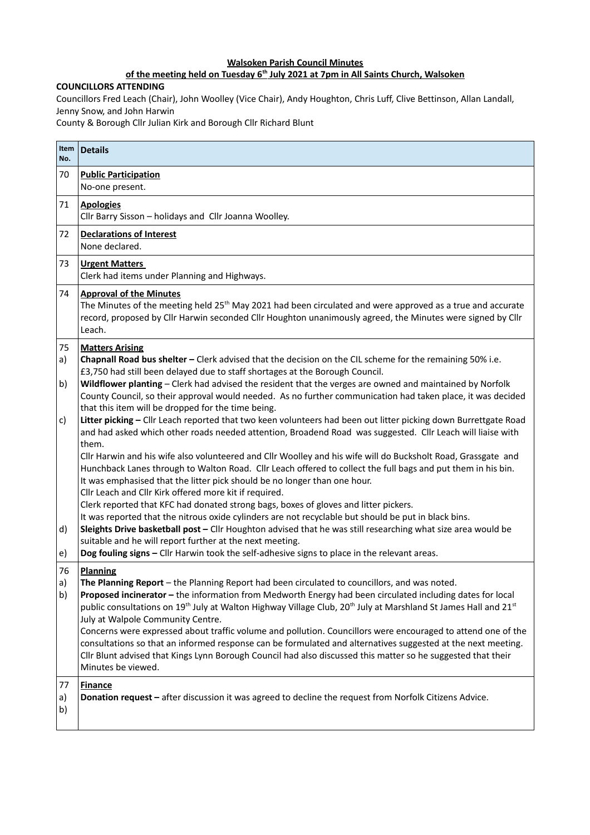## **Walsoken Parish Council Minutes**

## **of the meeting held on Tuesday 6th July 2021 at 7pm in All Saints Church, Walsoken**

## **COUNCILLORS ATTENDING**

Councillors Fred Leach (Chair), John Woolley (Vice Chair), Andy Houghton, Chris Luff, Clive Bettinson, Allan Landall, Jenny Snow, and John Harwin

County & Borough Cllr Julian Kirk and Borough Cllr Richard Blunt

| No.            | Item   Details                                                                                                                                                                                                                                                                                                                                                                                                                                                                                                                                                                                                                                                                                                                                                                                                                                                                                                                                                                                                                                                                             |  |  |  |
|----------------|--------------------------------------------------------------------------------------------------------------------------------------------------------------------------------------------------------------------------------------------------------------------------------------------------------------------------------------------------------------------------------------------------------------------------------------------------------------------------------------------------------------------------------------------------------------------------------------------------------------------------------------------------------------------------------------------------------------------------------------------------------------------------------------------------------------------------------------------------------------------------------------------------------------------------------------------------------------------------------------------------------------------------------------------------------------------------------------------|--|--|--|
| 70             | <b>Public Participation</b><br>No-one present.                                                                                                                                                                                                                                                                                                                                                                                                                                                                                                                                                                                                                                                                                                                                                                                                                                                                                                                                                                                                                                             |  |  |  |
| 71             | <b>Apologies</b><br>Cllr Barry Sisson - holidays and Cllr Joanna Woolley.                                                                                                                                                                                                                                                                                                                                                                                                                                                                                                                                                                                                                                                                                                                                                                                                                                                                                                                                                                                                                  |  |  |  |
| 72             | <b>Declarations of Interest</b><br>None declared.                                                                                                                                                                                                                                                                                                                                                                                                                                                                                                                                                                                                                                                                                                                                                                                                                                                                                                                                                                                                                                          |  |  |  |
| 73             | <b>Urgent Matters</b><br>Clerk had items under Planning and Highways.                                                                                                                                                                                                                                                                                                                                                                                                                                                                                                                                                                                                                                                                                                                                                                                                                                                                                                                                                                                                                      |  |  |  |
| 74             | <b>Approval of the Minutes</b><br>The Minutes of the meeting held 25 <sup>th</sup> May 2021 had been circulated and were approved as a true and accurate<br>record, proposed by Cllr Harwin seconded Cllr Houghton unanimously agreed, the Minutes were signed by Cllr<br>Leach.                                                                                                                                                                                                                                                                                                                                                                                                                                                                                                                                                                                                                                                                                                                                                                                                           |  |  |  |
| 75<br>a)<br>b) | <b>Matters Arising</b><br>Chapnall Road bus shelter - Clerk advised that the decision on the CIL scheme for the remaining 50% i.e.<br>£3,750 had still been delayed due to staff shortages at the Borough Council.<br>Wildflower planting - Clerk had advised the resident that the verges are owned and maintained by Norfolk<br>County Council, so their approval would needed. As no further communication had taken place, it was decided<br>that this item will be dropped for the time being.                                                                                                                                                                                                                                                                                                                                                                                                                                                                                                                                                                                        |  |  |  |
| c)<br>d)<br>e) | Litter picking - Cllr Leach reported that two keen volunteers had been out litter picking down Burrettgate Road<br>and had asked which other roads needed attention, Broadend Road was suggested. Cllr Leach will liaise with<br>them.<br>Cllr Harwin and his wife also volunteered and Cllr Woolley and his wife will do Bucksholt Road, Grassgate and<br>Hunchback Lanes through to Walton Road. Cllr Leach offered to collect the full bags and put them in his bin.<br>It was emphasised that the litter pick should be no longer than one hour.<br>Cllr Leach and Cllr Kirk offered more kit if required.<br>Clerk reported that KFC had donated strong bags, boxes of gloves and litter pickers.<br>It was reported that the nitrous oxide cylinders are not recyclable but should be put in black bins.<br>Sleights Drive basketball post - Cllr Houghton advised that he was still researching what size area would be<br>suitable and he will report further at the next meeting.<br>Dog fouling signs - Cllr Harwin took the self-adhesive signs to place in the relevant areas. |  |  |  |
| 76<br>a)<br>b) | <b>Planning</b><br>The Planning Report $-$ the Planning Report had been circulated to councillors, and was noted.<br>Proposed incinerator - the information from Medworth Energy had been circulated including dates for local<br>public consultations on 19 <sup>th</sup> July at Walton Highway Village Club, 20 <sup>th</sup> July at Marshland St James Hall and 21 <sup>st</sup><br>July at Walpole Community Centre.<br>Concerns were expressed about traffic volume and pollution. Councillors were encouraged to attend one of the<br>consultations so that an informed response can be formulated and alternatives suggested at the next meeting.<br>Cllr Blunt advised that Kings Lynn Borough Council had also discussed this matter so he suggested that their<br>Minutes be viewed.                                                                                                                                                                                                                                                                                           |  |  |  |
| 77<br>a)<br>b) | <b>Finance</b><br>Donation request - after discussion it was agreed to decline the request from Norfolk Citizens Advice.                                                                                                                                                                                                                                                                                                                                                                                                                                                                                                                                                                                                                                                                                                                                                                                                                                                                                                                                                                   |  |  |  |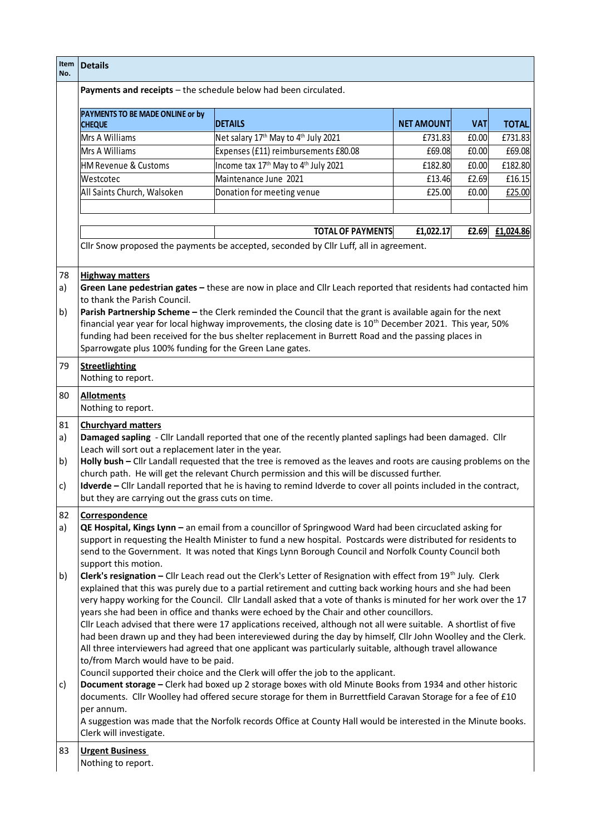| Item<br>No.          | <b>Details</b>                                                                                                                                                                                                                                                                                                                                                                                                                                                                                                                                                                                                                                                                                                                                                                                                                                                                                                                                                                                                                                                                                                                                                                                                                                                                                                                                                                                                                                                                                                                                                                                                                                                    |                                                                                       |                   |            |              |  |
|----------------------|-------------------------------------------------------------------------------------------------------------------------------------------------------------------------------------------------------------------------------------------------------------------------------------------------------------------------------------------------------------------------------------------------------------------------------------------------------------------------------------------------------------------------------------------------------------------------------------------------------------------------------------------------------------------------------------------------------------------------------------------------------------------------------------------------------------------------------------------------------------------------------------------------------------------------------------------------------------------------------------------------------------------------------------------------------------------------------------------------------------------------------------------------------------------------------------------------------------------------------------------------------------------------------------------------------------------------------------------------------------------------------------------------------------------------------------------------------------------------------------------------------------------------------------------------------------------------------------------------------------------------------------------------------------------|---------------------------------------------------------------------------------------|-------------------|------------|--------------|--|
|                      |                                                                                                                                                                                                                                                                                                                                                                                                                                                                                                                                                                                                                                                                                                                                                                                                                                                                                                                                                                                                                                                                                                                                                                                                                                                                                                                                                                                                                                                                                                                                                                                                                                                                   | Payments and receipts - the schedule below had been circulated.                       |                   |            |              |  |
|                      | PAYMENTS TO BE MADE ONLINE or by<br><b>CHEQUE</b>                                                                                                                                                                                                                                                                                                                                                                                                                                                                                                                                                                                                                                                                                                                                                                                                                                                                                                                                                                                                                                                                                                                                                                                                                                                                                                                                                                                                                                                                                                                                                                                                                 | <b>DETAILS</b>                                                                        | <b>NET AMOUNT</b> | <b>VAT</b> | <b>TOTAL</b> |  |
|                      | Mrs A Williams                                                                                                                                                                                                                                                                                                                                                                                                                                                                                                                                                                                                                                                                                                                                                                                                                                                                                                                                                                                                                                                                                                                                                                                                                                                                                                                                                                                                                                                                                                                                                                                                                                                    | Net salary 17 <sup>th</sup> May to 4 <sup>th</sup> July 2021                          | £731.83           | £0.00      | £731.83      |  |
|                      | Mrs A Williams                                                                                                                                                                                                                                                                                                                                                                                                                                                                                                                                                                                                                                                                                                                                                                                                                                                                                                                                                                                                                                                                                                                                                                                                                                                                                                                                                                                                                                                                                                                                                                                                                                                    | Expenses (£11) reimbursements £80.08                                                  | £69.08            | £0.00      | £69.08       |  |
|                      | <b>HM Revenue &amp; Customs</b>                                                                                                                                                                                                                                                                                                                                                                                                                                                                                                                                                                                                                                                                                                                                                                                                                                                                                                                                                                                                                                                                                                                                                                                                                                                                                                                                                                                                                                                                                                                                                                                                                                   | Income tax 17 <sup>th</sup> May to 4 <sup>th</sup> July 2021                          | £182.80           | £0.00      | £182.80      |  |
|                      | Westcotec                                                                                                                                                                                                                                                                                                                                                                                                                                                                                                                                                                                                                                                                                                                                                                                                                                                                                                                                                                                                                                                                                                                                                                                                                                                                                                                                                                                                                                                                                                                                                                                                                                                         | Maintenance June 2021                                                                 | £13.46            | £2.69      | £16.15       |  |
|                      | All Saints Church, Walsoken                                                                                                                                                                                                                                                                                                                                                                                                                                                                                                                                                                                                                                                                                                                                                                                                                                                                                                                                                                                                                                                                                                                                                                                                                                                                                                                                                                                                                                                                                                                                                                                                                                       | Donation for meeting venue                                                            | £25.00            | £0.00      | £25.00       |  |
|                      |                                                                                                                                                                                                                                                                                                                                                                                                                                                                                                                                                                                                                                                                                                                                                                                                                                                                                                                                                                                                                                                                                                                                                                                                                                                                                                                                                                                                                                                                                                                                                                                                                                                                   |                                                                                       |                   |            |              |  |
|                      |                                                                                                                                                                                                                                                                                                                                                                                                                                                                                                                                                                                                                                                                                                                                                                                                                                                                                                                                                                                                                                                                                                                                                                                                                                                                                                                                                                                                                                                                                                                                                                                                                                                                   | <b>TOTAL OF PAYMENTS</b>                                                              | £1,022.17         | £2.69      | £1,024.86    |  |
|                      |                                                                                                                                                                                                                                                                                                                                                                                                                                                                                                                                                                                                                                                                                                                                                                                                                                                                                                                                                                                                                                                                                                                                                                                                                                                                                                                                                                                                                                                                                                                                                                                                                                                                   | Cllr Snow proposed the payments be accepted, seconded by Cllr Luff, all in agreement. |                   |            |              |  |
| a)<br>b)             | <b>Highway matters</b><br>Green Lane pedestrian gates - these are now in place and Cllr Leach reported that residents had contacted him<br>to thank the Parish Council.<br>Parish Partnership Scheme - the Clerk reminded the Council that the grant is available again for the next<br>financial year year for local highway improvements, the closing date is 10 <sup>th</sup> December 2021. This year, 50%<br>funding had been received for the bus shelter replacement in Burrett Road and the passing places in<br>Sparrowgate plus 100% funding for the Green Lane gates.                                                                                                                                                                                                                                                                                                                                                                                                                                                                                                                                                                                                                                                                                                                                                                                                                                                                                                                                                                                                                                                                                  |                                                                                       |                   |            |              |  |
| 79                   | <b>Streetlighting</b><br>Nothing to report.                                                                                                                                                                                                                                                                                                                                                                                                                                                                                                                                                                                                                                                                                                                                                                                                                                                                                                                                                                                                                                                                                                                                                                                                                                                                                                                                                                                                                                                                                                                                                                                                                       |                                                                                       |                   |            |              |  |
| 80                   | <b>Allotments</b><br>Nothing to report.                                                                                                                                                                                                                                                                                                                                                                                                                                                                                                                                                                                                                                                                                                                                                                                                                                                                                                                                                                                                                                                                                                                                                                                                                                                                                                                                                                                                                                                                                                                                                                                                                           |                                                                                       |                   |            |              |  |
| 81<br>a)<br>b)<br>c) | <b>Churchyard matters</b><br>Damaged sapling - Cllr Landall reported that one of the recently planted saplings had been damaged. Cllr<br>Leach will sort out a replacement later in the year.<br>Holly bush - Cllr Landall requested that the tree is removed as the leaves and roots are causing problems on the<br>church path. He will get the relevant Church permission and this will be discussed further.<br>Idverde - Cllr Landall reported that he is having to remind Idverde to cover all points included in the contract,<br>but they are carrying out the grass cuts on time.                                                                                                                                                                                                                                                                                                                                                                                                                                                                                                                                                                                                                                                                                                                                                                                                                                                                                                                                                                                                                                                                        |                                                                                       |                   |            |              |  |
| 82<br>a)<br>b)<br>c) | Correspondence<br>QE Hospital, Kings Lynn - an email from a councillor of Springwood Ward had been circuclated asking for<br>support in requesting the Health Minister to fund a new hospital. Postcards were distributed for residents to<br>send to the Government. It was noted that Kings Lynn Borough Council and Norfolk County Council both<br>support this motion.<br>Clerk's resignation - Cllr Leach read out the Clerk's Letter of Resignation with effect from 19th July. Clerk<br>explained that this was purely due to a partial retirement and cutting back working hours and she had been<br>very happy working for the Council. Cllr Landall asked that a vote of thanks is minuted for her work over the 17<br>years she had been in office and thanks were echoed by the Chair and other councillors.<br>Cllr Leach advised that there were 17 applications received, although not all were suitable. A shortlist of five<br>had been drawn up and they had been intereviewed during the day by himself, Cllr John Woolley and the Clerk.<br>All three interviewers had agreed that one applicant was particularly suitable, although travel allowance<br>to/from March would have to be paid.<br>Council supported their choice and the Clerk will offer the job to the applicant.<br>Document storage - Clerk had boxed up 2 storage boxes with old Minute Books from 1934 and other historic<br>documents. Cllr Woolley had offered secure storage for them in Burrettfield Caravan Storage for a fee of £10<br>per annum.<br>A suggestion was made that the Norfolk records Office at County Hall would be interested in the Minute books. |                                                                                       |                   |            |              |  |
|                      | Clerk will investigate.                                                                                                                                                                                                                                                                                                                                                                                                                                                                                                                                                                                                                                                                                                                                                                                                                                                                                                                                                                                                                                                                                                                                                                                                                                                                                                                                                                                                                                                                                                                                                                                                                                           |                                                                                       |                   |            |              |  |
| 83                   | <b>Urgent Business</b><br>Nothing to report.                                                                                                                                                                                                                                                                                                                                                                                                                                                                                                                                                                                                                                                                                                                                                                                                                                                                                                                                                                                                                                                                                                                                                                                                                                                                                                                                                                                                                                                                                                                                                                                                                      |                                                                                       |                   |            |              |  |